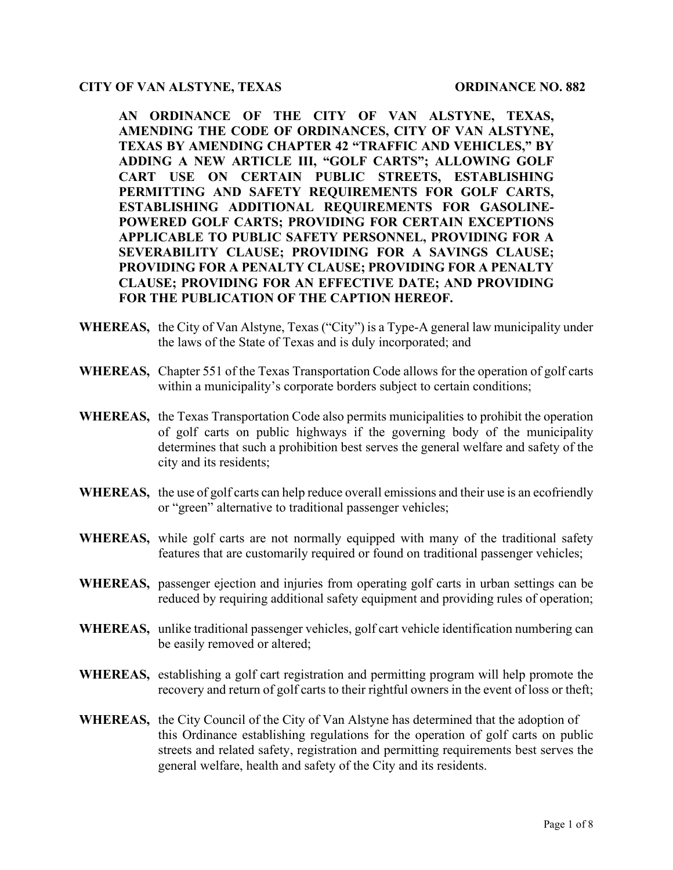#### **CITY OF VAN ALSTYNE, TEXAS ORDINANCE NO. 882**

**AN ORDINANCE OF THE CITY OF VAN ALSTYNE, TEXAS, AMENDING THE CODE OF ORDINANCES, CITY OF VAN ALSTYNE, TEXAS BY AMENDING CHAPTER 42 "TRAFFIC AND VEHICLES," BY ADDING A NEW ARTICLE III, "GOLF CARTS"; ALLOWING GOLF CART USE ON CERTAIN PUBLIC STREETS, ESTABLISHING PERMITTING AND SAFETY REQUIREMENTS FOR GOLF CARTS, ESTABLISHING ADDITIONAL REQUIREMENTS FOR GASOLINE-POWERED GOLF CARTS; PROVIDING FOR CERTAIN EXCEPTIONS APPLICABLE TO PUBLIC SAFETY PERSONNEL, PROVIDING FOR A SEVERABILITY CLAUSE; PROVIDING FOR A SAVINGS CLAUSE; PROVIDING FOR A PENALTY CLAUSE; PROVIDING FOR A PENALTY CLAUSE; PROVIDING FOR AN EFFECTIVE DATE; AND PROVIDING FOR THE PUBLICATION OF THE CAPTION HEREOF.**

- **WHEREAS,** the City of Van Alstyne, Texas ("City") is a Type-A general law municipality under the laws of the State of Texas and is duly incorporated; and
- **WHEREAS,** Chapter 551 of the Texas Transportation Code allows for the operation of golf carts within a municipality's corporate borders subject to certain conditions;
- **WHEREAS,** the Texas Transportation Code also permits municipalities to prohibit the operation of golf carts on public highways if the governing body of the municipality determines that such a prohibition best serves the general welfare and safety of the city and its residents;
- **WHEREAS,** the use of golf carts can help reduce overall emissions and their use is an ecofriendly or "green" alternative to traditional passenger vehicles;
- **WHEREAS,** while golf carts are not normally equipped with many of the traditional safety features that are customarily required or found on traditional passenger vehicles;
- **WHEREAS,** passenger ejection and injuries from operating golf carts in urban settings can be reduced by requiring additional safety equipment and providing rules of operation;
- **WHEREAS,** unlike traditional passenger vehicles, golf cart vehicle identification numbering can be easily removed or altered;
- **WHEREAS,** establishing a golf cart registration and permitting program will help promote the recovery and return of golf carts to their rightful owners in the event of loss or theft;
- **WHEREAS,** the City Council of the City of Van Alstyne has determined that the adoption of this Ordinance establishing regulations for the operation of golf carts on public streets and related safety, registration and permitting requirements best serves the general welfare, health and safety of the City and its residents.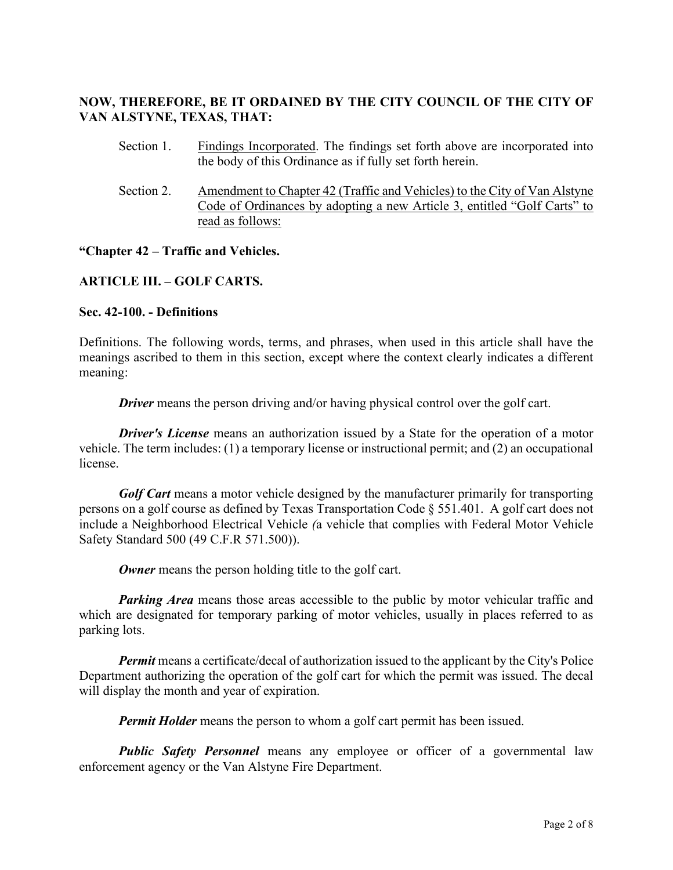# **NOW, THEREFORE, BE IT ORDAINED BY THE CITY COUNCIL OF THE CITY OF VAN ALSTYNE, TEXAS, THAT:**

- Section 1. Findings Incorporated. The findings set forth above are incorporated into the body of this Ordinance as if fully set forth herein.
- Section 2. Amendment to Chapter 42 (Traffic and Vehicles) to the City of Van Alstyne Code of Ordinances by adopting a new Article 3, entitled "Golf Carts" to read as follows:

#### **"Chapter 42 – Traffic and Vehicles.**

#### **ARTICLE III. – GOLF CARTS.**

#### **Sec. 42-100. - Definitions**

Definitions. The following words, terms, and phrases, when used in this article shall have the meanings ascribed to them in this section, except where the context clearly indicates a different meaning:

*Driver* means the person driving and/or having physical control over the golf cart.

*Driver's License* means an authorization issued by a State for the operation of a motor vehicle. The term includes: (1) a temporary license or instructional permit; and (2) an occupational license.

*Golf Cart* means a motor vehicle designed by the manufacturer primarily for transporting persons on a golf course as defined by Texas Transportation Code § 551.401. A golf cart does not include a Neighborhood Electrical Vehicle *(*a vehicle that complies with Federal Motor Vehicle Safety Standard 500 (49 C.F.R 571.500)).

**Owner** means the person holding title to the golf cart.

**Parking Area** means those areas accessible to the public by motor vehicular traffic and which are designated for temporary parking of motor vehicles, usually in places referred to as parking lots.

*Permit* means a certificate/decal of authorization issued to the applicant by the City's Police Department authorizing the operation of the golf cart for which the permit was issued. The decal will display the month and year of expiration.

*Permit Holder* means the person to whom a golf cart permit has been issued.

*Public Safety Personnel* means any employee or officer of a governmental law enforcement agency or the Van Alstyne Fire Department.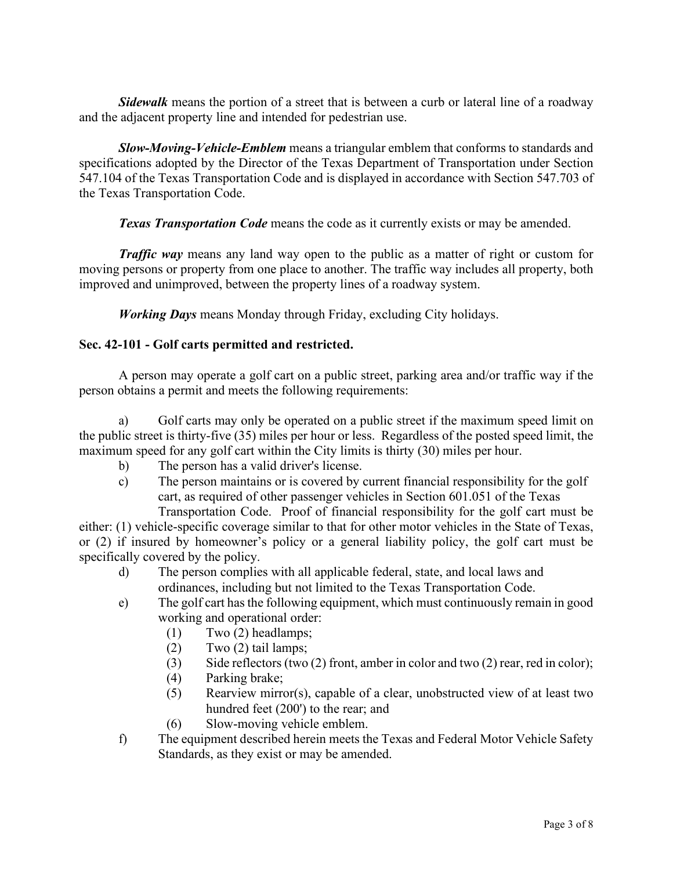*Sidewalk* means the portion of a street that is between a curb or lateral line of a roadway and the adjacent property line and intended for pedestrian use.

*Slow-Moving-Vehicle-Emblem* means a triangular emblem that conforms to standards and specifications adopted by the Director of the Texas Department of Transportation under Section 547.104 of the Texas Transportation Code and is displayed in accordance with Section 547.703 of the Texas Transportation Code.

**Texas Transportation Code** means the code as it currently exists or may be amended.

*Traffic way* means any land way open to the public as a matter of right or custom for moving persons or property from one place to another. The traffic way includes all property, both improved and unimproved, between the property lines of a roadway system.

*Working Days* means Monday through Friday, excluding City holidays.

#### **Sec. 42-101 - Golf carts permitted and restricted.**

A person may operate a golf cart on a public street, parking area and/or traffic way if the person obtains a permit and meets the following requirements:

a) Golf carts may only be operated on a public street if the maximum speed limit on the public street is thirty-five (35) miles per hour or less. Regardless of the posted speed limit, the maximum speed for any golf cart within the City limits is thirty (30) miles per hour.

- b) The person has a valid driver's license.
- c) The person maintains or is covered by current financial responsibility for the golf cart, as required of other passenger vehicles in Section 601.051 of the Texas

Transportation Code. Proof of financial responsibility for the golf cart must be either: (1) vehicle-specific coverage similar to that for other motor vehicles in the State of Texas, or (2) if insured by homeowner's policy or a general liability policy, the golf cart must be specifically covered by the policy.

- d) The person complies with all applicable federal, state, and local laws and ordinances, including but not limited to the Texas Transportation Code.
- e) The golf cart has the following equipment, which must continuously remain in good working and operational order:
	- (1) Two (2) headlamps;
	- $(2)$  Two  $(2)$  tail lamps;
	- (3) Side reflectors (two (2) front, amber in color and two (2) rear, red in color);
	- (4) Parking brake;
	- (5) Rearview mirror(s), capable of a clear, unobstructed view of at least two hundred feet (200') to the rear; and
	- (6) Slow-moving vehicle emblem.
- f) The equipment described herein meets the Texas and Federal Motor Vehicle Safety Standards, as they exist or may be amended.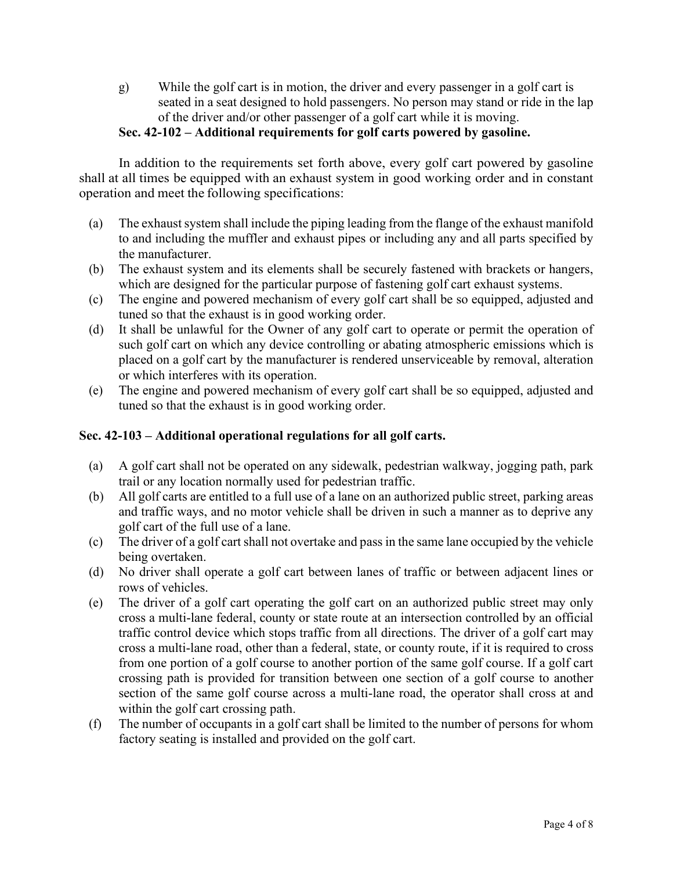g) While the golf cart is in motion, the driver and every passenger in a golf cart is seated in a seat designed to hold passengers. No person may stand or ride in the lap of the driver and/or other passenger of a golf cart while it is moving.

## **Sec. 42-102 – Additional requirements for golf carts powered by gasoline.**

In addition to the requirements set forth above, every golf cart powered by gasoline shall at all times be equipped with an exhaust system in good working order and in constant operation and meet the following specifications:

- (a) The exhaust system shall include the piping leading from the flange of the exhaust manifold to and including the muffler and exhaust pipes or including any and all parts specified by the manufacturer.
- (b) The exhaust system and its elements shall be securely fastened with brackets or hangers, which are designed for the particular purpose of fastening golf cart exhaust systems.
- (c) The engine and powered mechanism of every golf cart shall be so equipped, adjusted and tuned so that the exhaust is in good working order.
- (d) It shall be unlawful for the Owner of any golf cart to operate or permit the operation of such golf cart on which any device controlling or abating atmospheric emissions which is placed on a golf cart by the manufacturer is rendered unserviceable by removal, alteration or which interferes with its operation.
- (e) The engine and powered mechanism of every golf cart shall be so equipped, adjusted and tuned so that the exhaust is in good working order.

## **Sec. 42-103 – Additional operational regulations for all golf carts.**

- (a) A golf cart shall not be operated on any sidewalk, pedestrian walkway, jogging path, park trail or any location normally used for pedestrian traffic.
- (b) All golf carts are entitled to a full use of a lane on an authorized public street, parking areas and traffic ways, and no motor vehicle shall be driven in such a manner as to deprive any golf cart of the full use of a lane.
- (c) The driver of a golf cart shall not overtake and pass in the same lane occupied by the vehicle being overtaken.
- (d) No driver shall operate a golf cart between lanes of traffic or between adjacent lines or rows of vehicles.
- (e) The driver of a golf cart operating the golf cart on an authorized public street may only cross a multi-lane federal, county or state route at an intersection controlled by an official traffic control device which stops traffic from all directions. The driver of a golf cart may cross a multi-lane road, other than a federal, state, or county route, if it is required to cross from one portion of a golf course to another portion of the same golf course. If a golf cart crossing path is provided for transition between one section of a golf course to another section of the same golf course across a multi-lane road, the operator shall cross at and within the golf cart crossing path.
- (f) The number of occupants in a golf cart shall be limited to the number of persons for whom factory seating is installed and provided on the golf cart.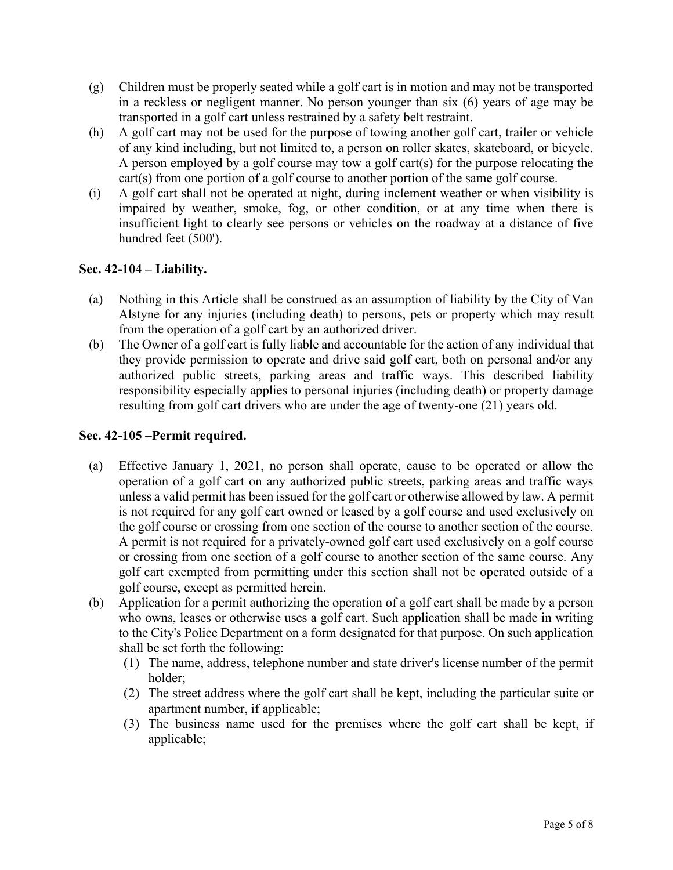- (g) Children must be properly seated while a golf cart is in motion and may not be transported in a reckless or negligent manner. No person younger than six (6) years of age may be transported in a golf cart unless restrained by a safety belt restraint.
- (h) A golf cart may not be used for the purpose of towing another golf cart, trailer or vehicle of any kind including, but not limited to, a person on roller skates, skateboard, or bicycle. A person employed by a golf course may tow a golf cart(s) for the purpose relocating the cart(s) from one portion of a golf course to another portion of the same golf course.
- (i) A golf cart shall not be operated at night, during inclement weather or when visibility is impaired by weather, smoke, fog, or other condition, or at any time when there is insufficient light to clearly see persons or vehicles on the roadway at a distance of five hundred feet (500').

## **Sec. 42-104 – Liability.**

- (a) Nothing in this Article shall be construed as an assumption of liability by the City of Van Alstyne for any injuries (including death) to persons, pets or property which may result from the operation of a golf cart by an authorized driver.
- (b) The Owner of a golf cart is fully liable and accountable for the action of any individual that they provide permission to operate and drive said golf cart, both on personal and/or any authorized public streets, parking areas and traffic ways. This described liability responsibility especially applies to personal injuries (including death) or property damage resulting from golf cart drivers who are under the age of twenty-one (21) years old.

## **Sec. 42-105 –Permit required.**

- (a) Effective January 1, 2021, no person shall operate, cause to be operated or allow the operation of a golf cart on any authorized public streets, parking areas and traffic ways unless a valid permit has been issued for the golf cart or otherwise allowed by law. A permit is not required for any golf cart owned or leased by a golf course and used exclusively on the golf course or crossing from one section of the course to another section of the course. A permit is not required for a privately-owned golf cart used exclusively on a golf course or crossing from one section of a golf course to another section of the same course. Any golf cart exempted from permitting under this section shall not be operated outside of a golf course, except as permitted herein.
- (b) Application for a permit authorizing the operation of a golf cart shall be made by a person who owns, leases or otherwise uses a golf cart. Such application shall be made in writing to the City's Police Department on a form designated for that purpose. On such application shall be set forth the following:
	- (1) The name, address, telephone number and state driver's license number of the permit holder;
	- (2) The street address where the golf cart shall be kept, including the particular suite or apartment number, if applicable;
	- (3) The business name used for the premises where the golf cart shall be kept, if applicable;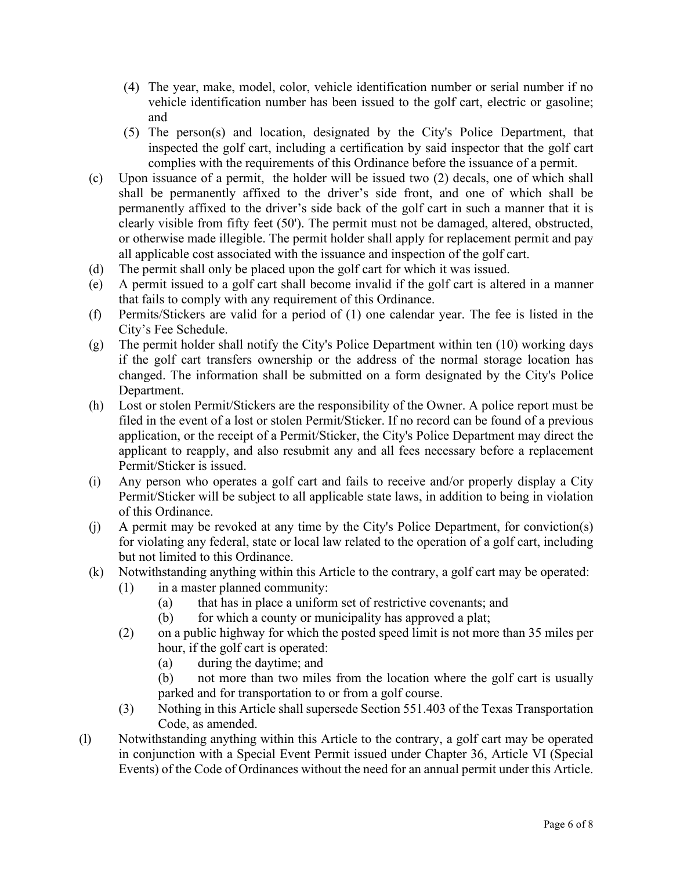- (4) The year, make, model, color, vehicle identification number or serial number if no vehicle identification number has been issued to the golf cart, electric or gasoline; and
- (5) The person(s) and location, designated by the City's Police Department, that inspected the golf cart, including a certification by said inspector that the golf cart complies with the requirements of this Ordinance before the issuance of a permit.
- (c) Upon issuance of a permit, the holder will be issued two (2) decals, one of which shall shall be permanently affixed to the driver's side front, and one of which shall be permanently affixed to the driver's side back of the golf cart in such a manner that it is clearly visible from fifty feet (50'). The permit must not be damaged, altered, obstructed, or otherwise made illegible. The permit holder shall apply for replacement permit and pay all applicable cost associated with the issuance and inspection of the golf cart.
- (d) The permit shall only be placed upon the golf cart for which it was issued.
- (e) A permit issued to a golf cart shall become invalid if the golf cart is altered in a manner that fails to comply with any requirement of this Ordinance.
- (f) Permits/Stickers are valid for a period of (1) one calendar year. The fee is listed in the City's Fee Schedule.
- (g) The permit holder shall notify the City's Police Department within ten (10) working days if the golf cart transfers ownership or the address of the normal storage location has changed. The information shall be submitted on a form designated by the City's Police Department.
- (h) Lost or stolen Permit/Stickers are the responsibility of the Owner. A police report must be filed in the event of a lost or stolen Permit/Sticker. If no record can be found of a previous application, or the receipt of a Permit/Sticker, the City's Police Department may direct the applicant to reapply, and also resubmit any and all fees necessary before a replacement Permit/Sticker is issued.
- (i) Any person who operates a golf cart and fails to receive and/or properly display a City Permit/Sticker will be subject to all applicable state laws, in addition to being in violation of this Ordinance.
- (j) A permit may be revoked at any time by the City's Police Department, for conviction(s) for violating any federal, state or local law related to the operation of a golf cart, including but not limited to this Ordinance.
- (k) Notwithstanding anything within this Article to the contrary, a golf cart may be operated:
	- (1) in a master planned community:
		- (a) that has in place a uniform set of restrictive covenants; and
		- (b) for which a county or municipality has approved a plat;
	- (2) on a public highway for which the posted speed limit is not more than 35 miles per hour, if the golf cart is operated:
		- (a) during the daytime; and
		- (b) not more than two miles from the location where the golf cart is usually parked and for transportation to or from a golf course.
	- (3) Nothing in this Article shall supersede Section 551.403 of the Texas Transportation Code, as amended.
- (l) Notwithstanding anything within this Article to the contrary, a golf cart may be operated in conjunction with a Special Event Permit issued under Chapter 36, Article VI (Special Events) of the Code of Ordinances without the need for an annual permit under this Article.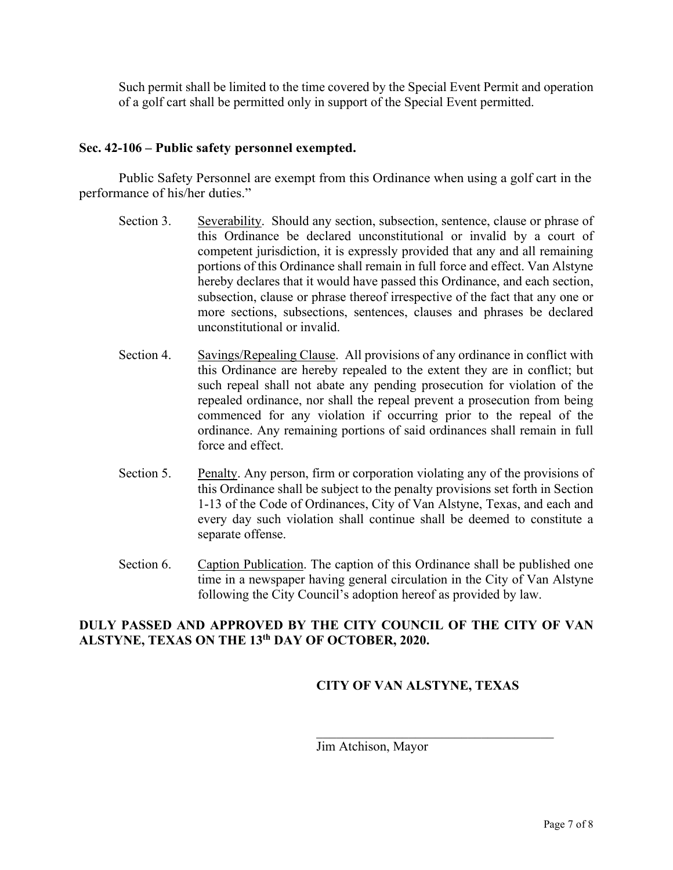Such permit shall be limited to the time covered by the Special Event Permit and operation of a golf cart shall be permitted only in support of the Special Event permitted.

#### **Sec. 42-106 – Public safety personnel exempted.**

Public Safety Personnel are exempt from this Ordinance when using a golf cart in the performance of his/her duties."

- Section 3. Severability. Should any section, subsection, sentence, clause or phrase of this Ordinance be declared unconstitutional or invalid by a court of competent jurisdiction, it is expressly provided that any and all remaining portions of this Ordinance shall remain in full force and effect. Van Alstyne hereby declares that it would have passed this Ordinance, and each section, subsection, clause or phrase thereof irrespective of the fact that any one or more sections, subsections, sentences, clauses and phrases be declared unconstitutional or invalid.
- Section 4. Savings/Repealing Clause. All provisions of any ordinance in conflict with this Ordinance are hereby repealed to the extent they are in conflict; but such repeal shall not abate any pending prosecution for violation of the repealed ordinance, nor shall the repeal prevent a prosecution from being commenced for any violation if occurring prior to the repeal of the ordinance. Any remaining portions of said ordinances shall remain in full force and effect.
- Section 5. Penalty. Any person, firm or corporation violating any of the provisions of this Ordinance shall be subject to the penalty provisions set forth in Section 1-13 of the Code of Ordinances, City of Van Alstyne, Texas, and each and every day such violation shall continue shall be deemed to constitute a separate offense.
- Section 6. Caption Publication. The caption of this Ordinance shall be published one time in a newspaper having general circulation in the City of Van Alstyne following the City Council's adoption hereof as provided by law.

#### **DULY PASSED AND APPROVED BY THE CITY COUNCIL OF THE CITY OF VAN ALSTYNE, TEXAS ON THE 13th DAY OF OCTOBER, 2020.**

## **CITY OF VAN ALSTYNE, TEXAS**

Jim Atchison, Mayor